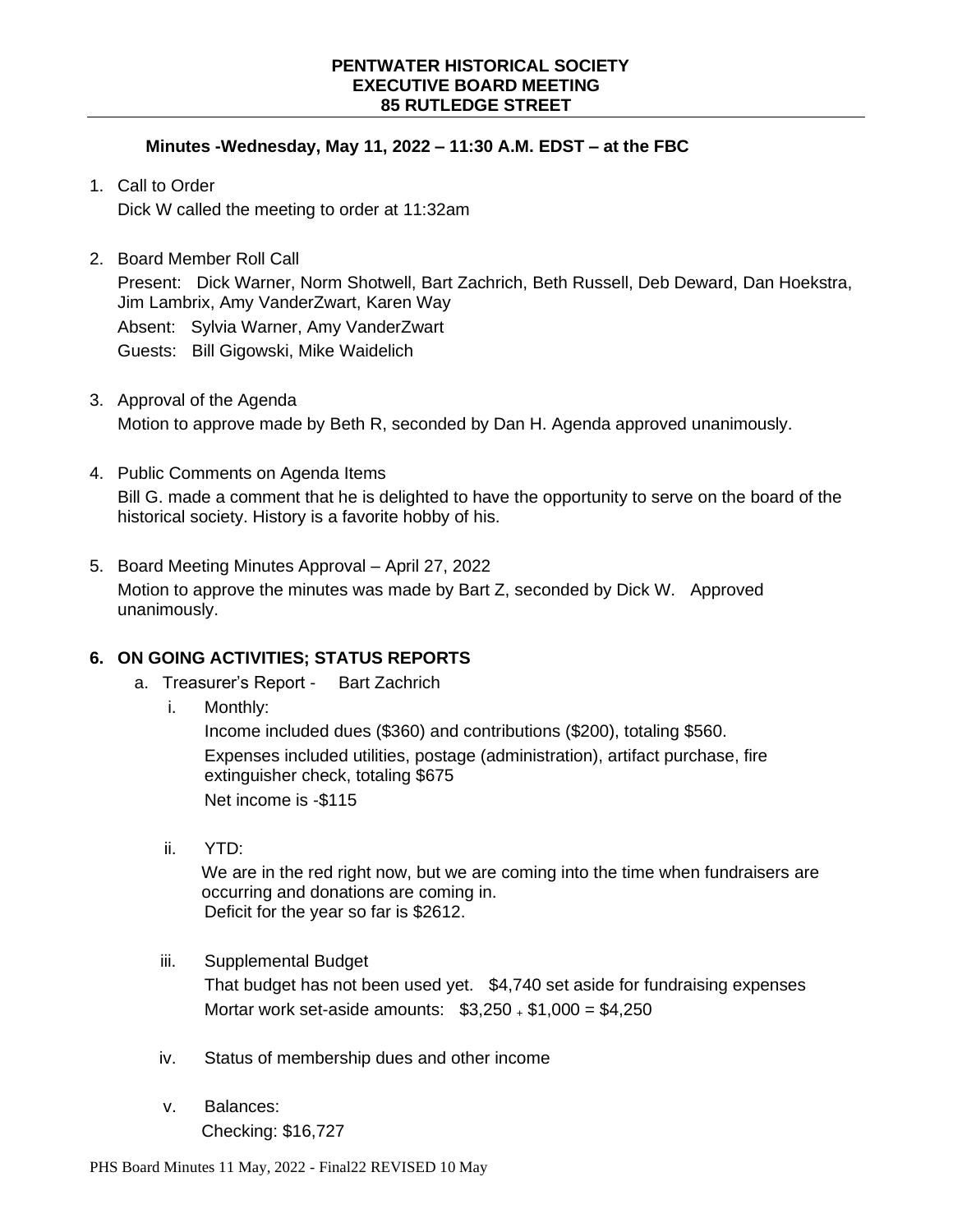### **Minutes -Wednesday, May 11, 2022 – 11:30 A.M. EDST – at the FBC**

- 1. Call to Order Dick W called the meeting to order at 11:32am
- 2. Board Member Roll Call

Present: Dick Warner, Norm Shotwell, Bart Zachrich, Beth Russell, Deb Deward, Dan Hoekstra, Jim Lambrix, Amy VanderZwart, Karen Way Absent: Sylvia Warner, Amy VanderZwart Guests: Bill Gigowski, Mike Waidelich

- 3. Approval of the Agenda Motion to approve made by Beth R, seconded by Dan H. Agenda approved unanimously.
- 4. Public Comments on Agenda Items Bill G. made a comment that he is delighted to have the opportunity to serve on the board of the historical society. History is a favorite hobby of his.
- 5. Board Meeting Minutes Approval April 27, 2022 Motion to approve the minutes was made by Bart Z, seconded by Dick W. Approved unanimously.

# **6. ON GOING ACTIVITIES; STATUS REPORTS**

- a. Treasurer's Report Bart Zachrich
	- i. Monthly:

Income included dues (\$360) and contributions (\$200), totaling \$560. Expenses included utilities, postage (administration), artifact purchase, fire extinguisher check, totaling \$675 Net income is -\$115

ii. YTD:

We are in the red right now, but we are coming into the time when fundraisers are occurring and donations are coming in. Deficit for the year so far is \$2612.

- iii. Supplemental Budget That budget has not been used yet. \$4,740 set aside for fundraising expenses Mortar work set-aside amounts: \$3,250 <sup>+</sup> \$1,000 = \$4,250
- iv. Status of membership dues and other income
- v. Balances: Checking: \$16,727

PHS Board Minutes 11 May, 2022 - Final22 REVISED 10 May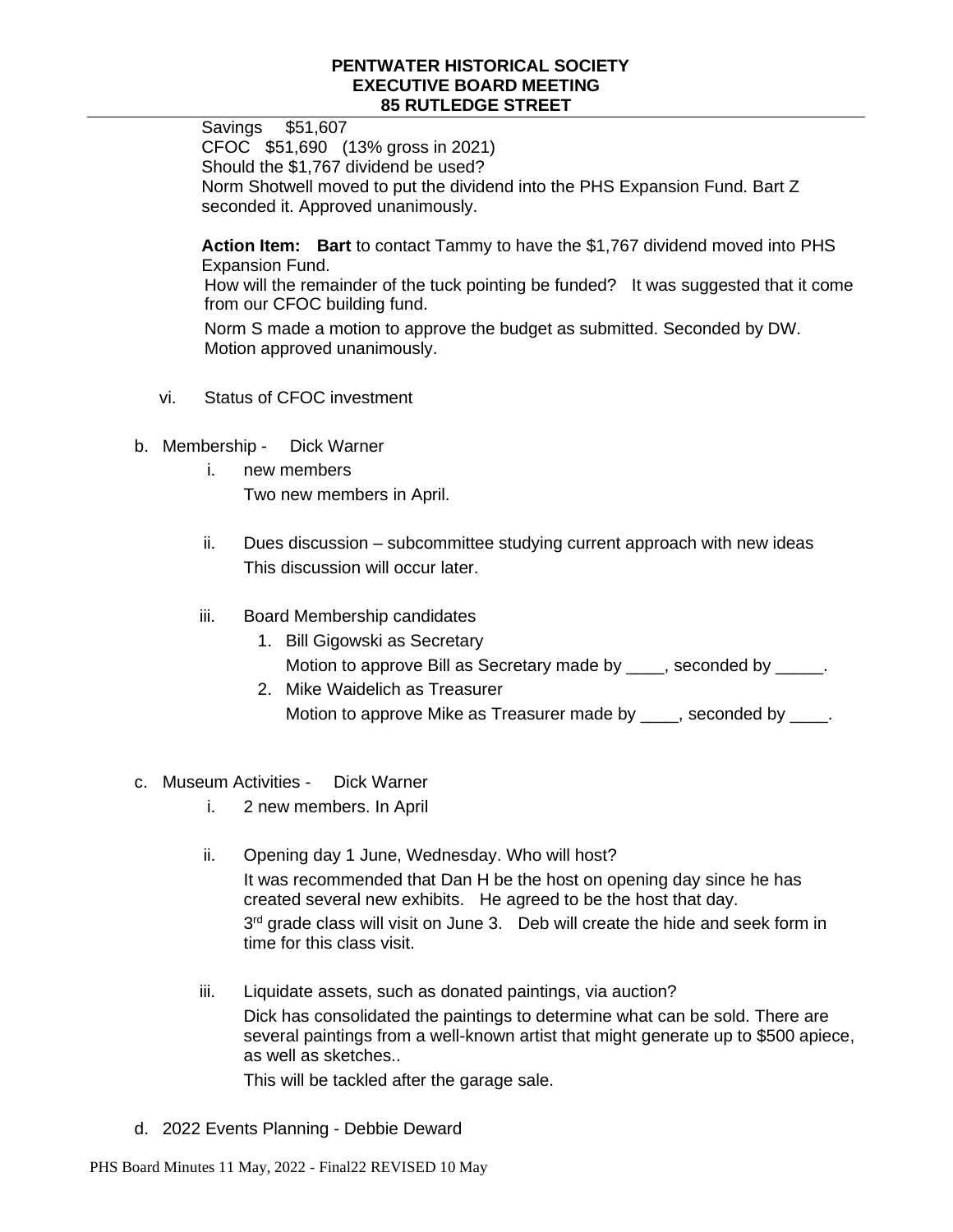Savings \$51,607 CFOC \$51,690 (13% gross in 2021) Should the \$1,767 dividend be used? Norm Shotwell moved to put the dividend into the PHS Expansion Fund. Bart Z seconded it. Approved unanimously.

**Action Item: Bart** to contact Tammy to have the \$1,767 dividend moved into PHS Expansion Fund. How will the remainder of the tuck pointing be funded? It was suggested that it come from our CFOC building fund.

Norm S made a motion to approve the budget as submitted. Seconded by DW. Motion approved unanimously.

- vi. Status of CFOC investment
- b. Membership Dick Warner
	- i. new members Two new members in April.
	- ii. Dues discussion subcommittee studying current approach with new ideas This discussion will occur later.
	- iii. Board Membership candidates
		- 1. Bill Gigowski as Secretary Motion to approve Bill as Secretary made by \_\_\_\_, seconded by \_\_\_\_\_.
		- 2. Mike Waidelich as Treasurer Motion to approve Mike as Treasurer made by \_\_\_\_, seconded by \_\_\_\_.
- c. Museum Activities Dick Warner
	- i. 2 new members. In April
	- ii. Opening day 1 June, Wednesday. Who will host? It was recommended that Dan H be the host on opening day since he has created several new exhibits. He agreed to be the host that day. 3<sup>rd</sup> grade class will visit on June 3. Deb will create the hide and seek form in time for this class visit.
	- iii. Liquidate assets, such as donated paintings, via auction? Dick has consolidated the paintings to determine what can be sold. There are several paintings from a well-known artist that might generate up to \$500 apiece, as well as sketches..

This will be tackled after the garage sale.

d. 2022 Events Planning - Debbie Deward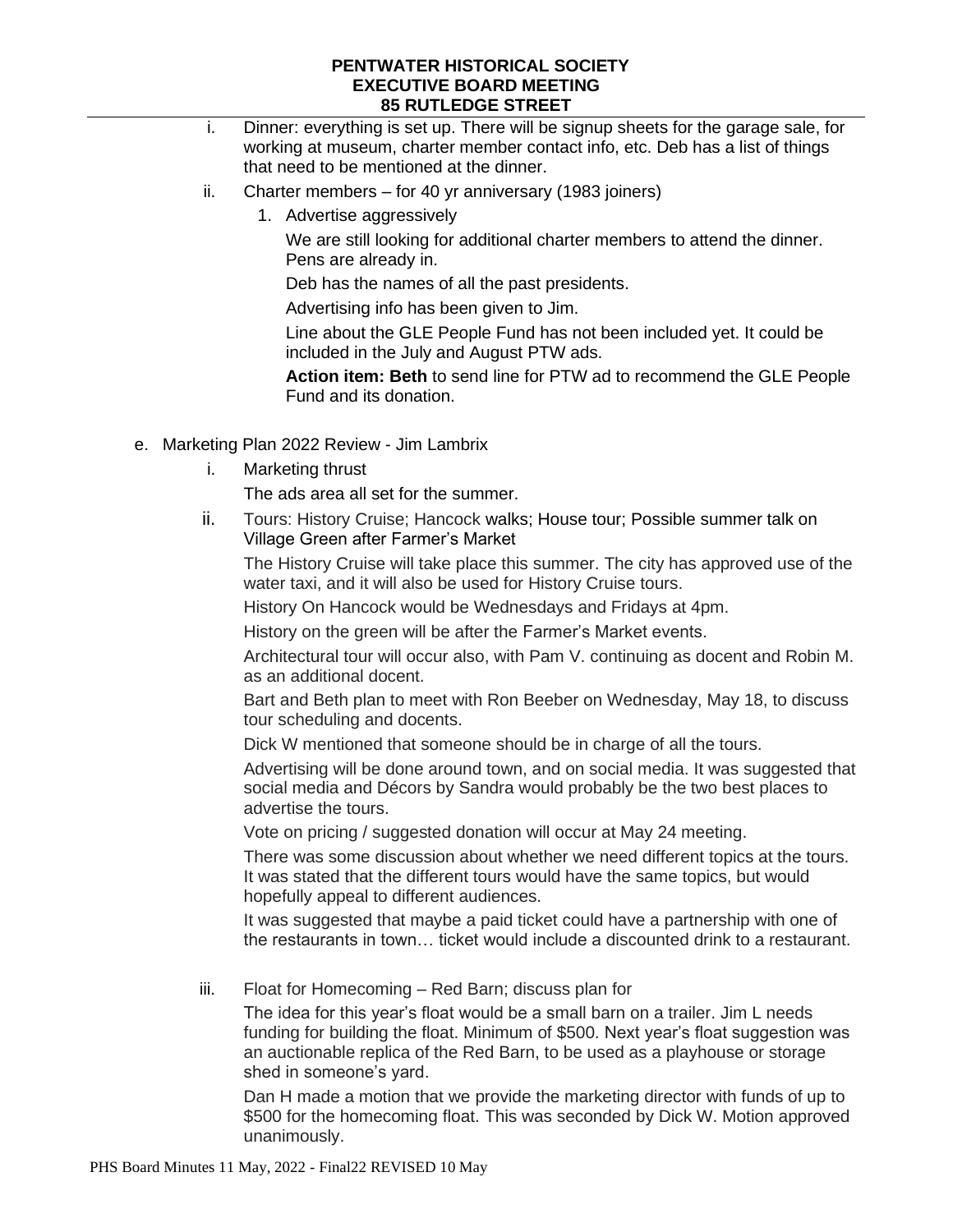- i. Dinner: everything is set up. There will be signup sheets for the garage sale, for working at museum, charter member contact info, etc. Deb has a list of things that need to be mentioned at the dinner.
- ii. Charter members for 40 yr anniversary (1983 joiners)
	- 1. Advertise aggressively

We are still looking for additional charter members to attend the dinner. Pens are already in.

Deb has the names of all the past presidents.

Advertising info has been given to Jim.

Line about the GLE People Fund has not been included yet. It could be included in the July and August PTW ads.

**Action item: Beth** to send line for PTW ad to recommend the GLE People Fund and its donation.

- e. Marketing Plan 2022 Review Jim Lambrix
	- i. Marketing thrust

The ads area all set for the summer.

ii. Tours: History Cruise; Hancock walks; House tour; Possible summer talk on Village Green after Farmer's Market

The History Cruise will take place this summer. The city has approved use of the water taxi, and it will also be used for History Cruise tours.

History On Hancock would be Wednesdays and Fridays at 4pm.

History on the green will be after the Farmer's Market events.

Architectural tour will occur also, with Pam V. continuing as docent and Robin M. as an additional docent.

Bart and Beth plan to meet with Ron Beeber on Wednesday, May 18, to discuss tour scheduling and docents.

Dick W mentioned that someone should be in charge of all the tours.

Advertising will be done around town, and on social media. It was suggested that social media and Décors by Sandra would probably be the two best places to advertise the tours.

Vote on pricing / suggested donation will occur at May 24 meeting.

There was some discussion about whether we need different topics at the tours. It was stated that the different tours would have the same topics, but would hopefully appeal to different audiences.

It was suggested that maybe a paid ticket could have a partnership with one of the restaurants in town… ticket would include a discounted drink to a restaurant.

iii. Float for Homecoming – Red Barn; discuss plan for

The idea for this year's float would be a small barn on a trailer. Jim L needs funding for building the float. Minimum of \$500. Next year's float suggestion was an auctionable replica of the Red Barn, to be used as a playhouse or storage shed in someone's yard.

Dan H made a motion that we provide the marketing director with funds of up to \$500 for the homecoming float. This was seconded by Dick W. Motion approved unanimously.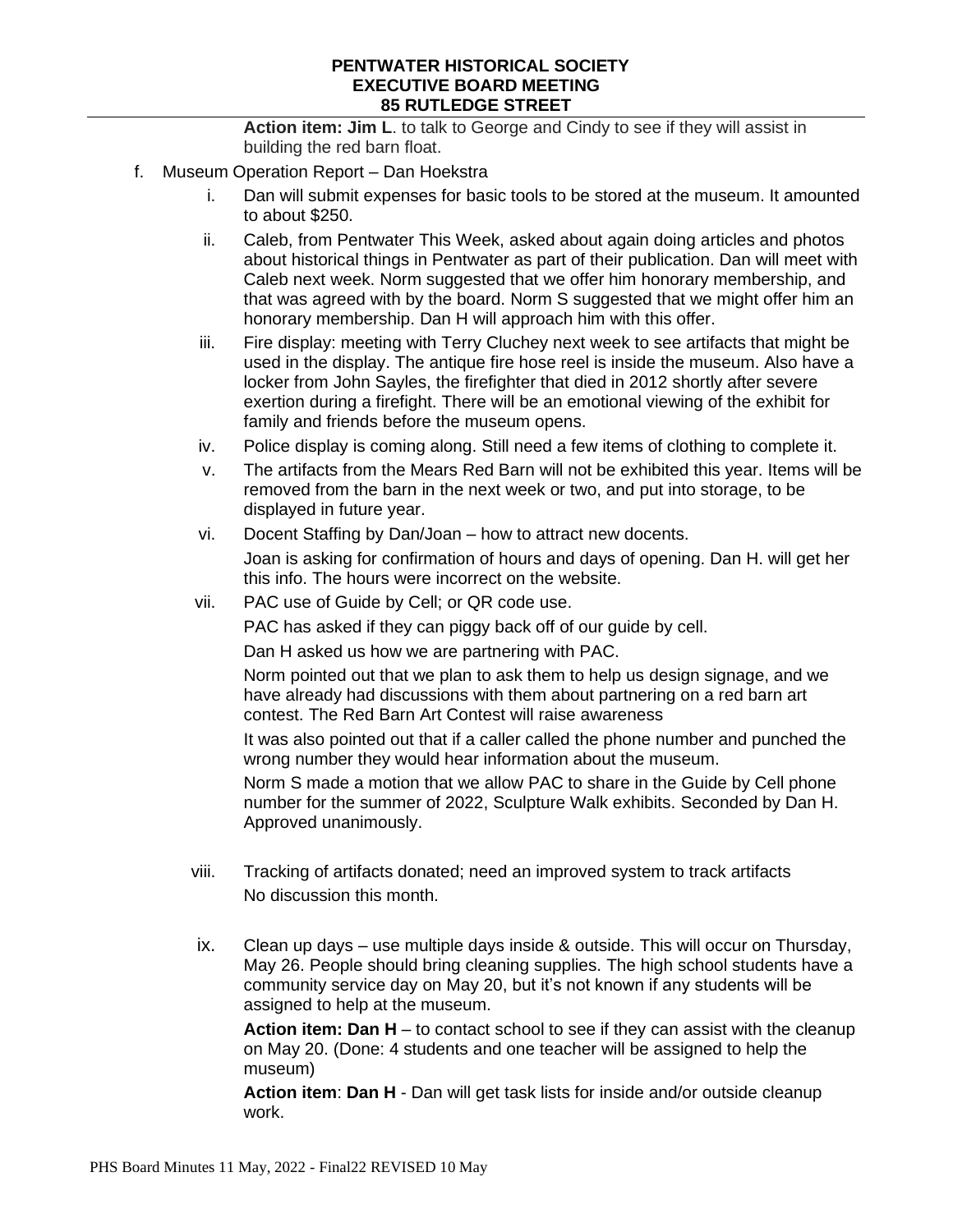**Action item: Jim L**. to talk to George and Cindy to see if they will assist in building the red barn float.

- f. Museum Operation Report Dan Hoekstra
	- i. Dan will submit expenses for basic tools to be stored at the museum. It amounted to about \$250.
	- ii. Caleb, from Pentwater This Week, asked about again doing articles and photos about historical things in Pentwater as part of their publication. Dan will meet with Caleb next week. Norm suggested that we offer him honorary membership, and that was agreed with by the board. Norm S suggested that we might offer him an honorary membership. Dan H will approach him with this offer.
	- iii. Fire display: meeting with Terry Cluchey next week to see artifacts that might be used in the display. The antique fire hose reel is inside the museum. Also have a locker from John Sayles, the firefighter that died in 2012 shortly after severe exertion during a firefight. There will be an emotional viewing of the exhibit for family and friends before the museum opens.
	- iv. Police display is coming along. Still need a few items of clothing to complete it.
	- v. The artifacts from the Mears Red Barn will not be exhibited this year. Items will be removed from the barn in the next week or two, and put into storage, to be displayed in future year.
	- vi. Docent Staffing by Dan/Joan how to attract new docents. Joan is asking for confirmation of hours and days of opening. Dan H. will get her this info. The hours were incorrect on the website.
	- vii. PAC use of Guide by Cell; or QR code use.

PAC has asked if they can piggy back off of our guide by cell.

Dan H asked us how we are partnering with PAC.

Norm pointed out that we plan to ask them to help us design signage, and we have already had discussions with them about partnering on a red barn art contest. The Red Barn Art Contest will raise awareness

It was also pointed out that if a caller called the phone number and punched the wrong number they would hear information about the museum.

Norm S made a motion that we allow PAC to share in the Guide by Cell phone number for the summer of 2022, Sculpture Walk exhibits. Seconded by Dan H. Approved unanimously.

- viii. Tracking of artifacts donated; need an improved system to track artifacts No discussion this month.
- ix. Clean up days use multiple days inside & outside. This will occur on Thursday, May 26. People should bring cleaning supplies. The high school students have a community service day on May 20, but it's not known if any students will be assigned to help at the museum.

**Action item: Dan H** – to contact school to see if they can assist with the cleanup on May 20. (Done: 4 students and one teacher will be assigned to help the museum)

**Action item**: **Dan H** - Dan will get task lists for inside and/or outside cleanup work.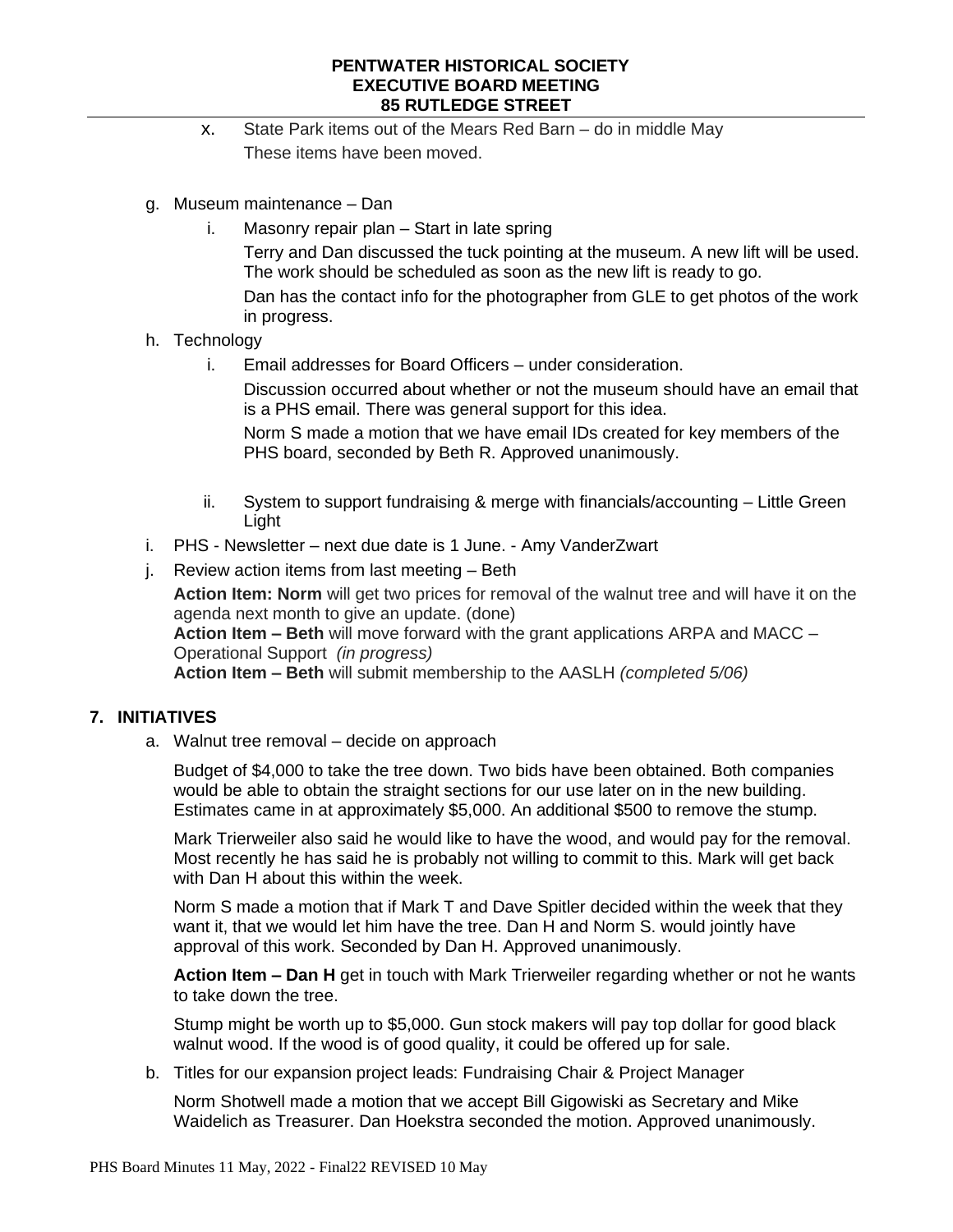- x. State Park items out of the Mears Red Barn do in middle May These items have been moved.
- g. Museum maintenance Dan
	- i. Masonry repair plan Start in late spring Terry and Dan discussed the tuck pointing at the museum. A new lift will be used. The work should be scheduled as soon as the new lift is ready to go. Dan has the contact info for the photographer from GLE to get photos of the work in progress.

# h. Technology

i. Email addresses for Board Officers – under consideration.

Discussion occurred about whether or not the museum should have an email that is a PHS email. There was general support for this idea.

Norm S made a motion that we have email IDs created for key members of the PHS board, seconded by Beth R. Approved unanimously.

- ii. System to support fundraising & merge with financials/accounting Little Green Light
- i. PHS Newsletter next due date is 1 June. Amy VanderZwart
- j. Review action items from last meeting Beth

**Action Item: Norm** will get two prices for removal of the walnut tree and will have it on the agenda next month to give an update. (done)

**Action Item – Beth** will move forward with the grant applications ARPA and MACC – Operational Support *(in progress)*

**Action Item – Beth** will submit membership to the AASLH *(completed 5/06)*

# **7. INITIATIVES**

a. Walnut tree removal – decide on approach

Budget of \$4,000 to take the tree down. Two bids have been obtained. Both companies would be able to obtain the straight sections for our use later on in the new building. Estimates came in at approximately \$5,000. An additional \$500 to remove the stump.

Mark Trierweiler also said he would like to have the wood, and would pay for the removal. Most recently he has said he is probably not willing to commit to this. Mark will get back with Dan H about this within the week.

Norm S made a motion that if Mark T and Dave Spitler decided within the week that they want it, that we would let him have the tree. Dan H and Norm S. would jointly have approval of this work. Seconded by Dan H. Approved unanimously.

**Action Item – Dan H** get in touch with Mark Trierweiler regarding whether or not he wants to take down the tree.

Stump might be worth up to \$5,000. Gun stock makers will pay top dollar for good black walnut wood. If the wood is of good quality, it could be offered up for sale.

b. Titles for our expansion project leads: Fundraising Chair & Project Manager

Norm Shotwell made a motion that we accept Bill Gigowiski as Secretary and Mike Waidelich as Treasurer. Dan Hoekstra seconded the motion. Approved unanimously.